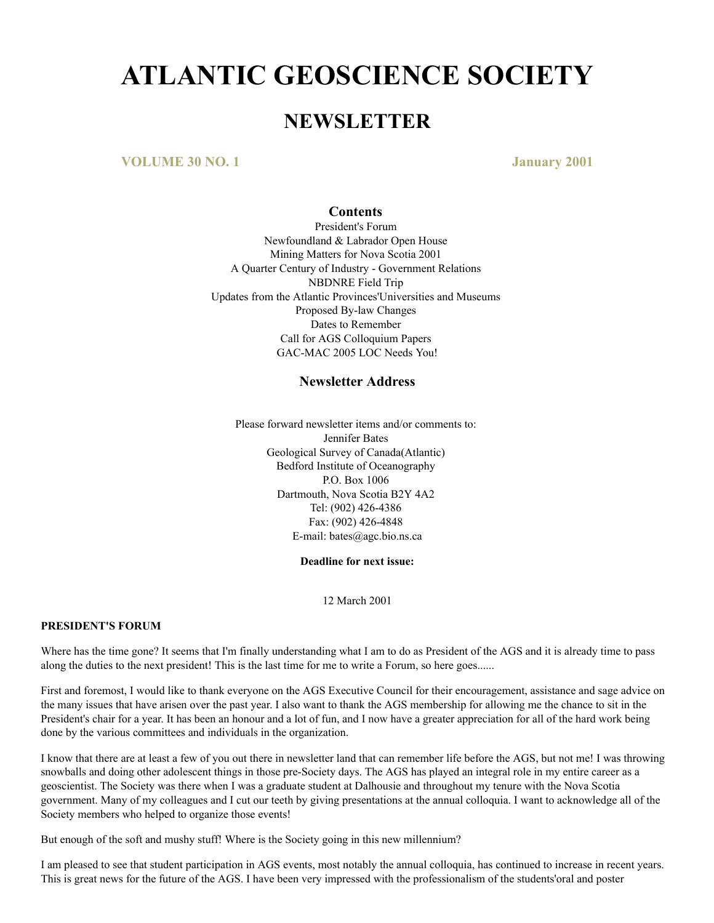# **ATLANTIC GEOSCIENCE SOCIETY**

# **NEWSLETTER**

**VOLUME 30 NO. 1 January 2001**

#### **Contents**

President's Forum Newfoundland & Labrador Open House Mining Matters for Nova Scotia 2001 A Quarter Century of Industry - Government Relations NBDNRE Field Trip Updates from the Atlantic Provinces'Universities and Museums Proposed By-law Changes Dates to Remember Call for AGS Colloquium Papers GAC-MAC 2005 LOC Needs You!

#### **Newsletter Address**

Please forward newsletter items and/or comments to: Jennifer Bates Geological Survey of Canada(Atlantic) Bedford Institute of Oceanography P.O. Box 1006 Dartmouth, Nova Scotia B2Y 4A2 Tel: (902) 426-4386 Fax: (902) 426-4848 E-mail: bates@agc.bio.ns.ca

**Deadline for next issue:**

12 March 2001

#### **PRESIDENT'S FORUM**

Where has the time gone? It seems that I'm finally understanding what I am to do as President of the AGS and it is already time to pass along the duties to the next president! This is the last time for me to write a Forum, so here goes......

First and foremost, I would like to thank everyone on the AGS Executive Council for their encouragement, assistance and sage advice on the many issues that have arisen over the past year. I also want to thank the AGS membership for allowing me the chance to sit in the President's chair for a year. It has been an honour and a lot of fun, and I now have a greater appreciation for all of the hard work being done by the various committees and individuals in the organization.

I know that there are at least a few of you out there in newsletter land that can remember life before the AGS, but not me! I was throwing snowballs and doing other adolescent things in those pre-Society days. The AGS has played an integral role in my entire career as a geoscientist. The Society was there when I was a graduate student at Dalhousie and throughout my tenure with the Nova Scotia government. Many of my colleagues and I cut our teeth by giving presentations at the annual colloquia. I want to acknowledge all of the Society members who helped to organize those events!

But enough of the soft and mushy stuff! Where is the Society going in this new millennium?

I am pleased to see that student participation in AGS events, most notably the annual colloquia, has continued to increase in recent years. This is great news for the future of the AGS. I have been very impressed with the professionalism of the students'oral and poster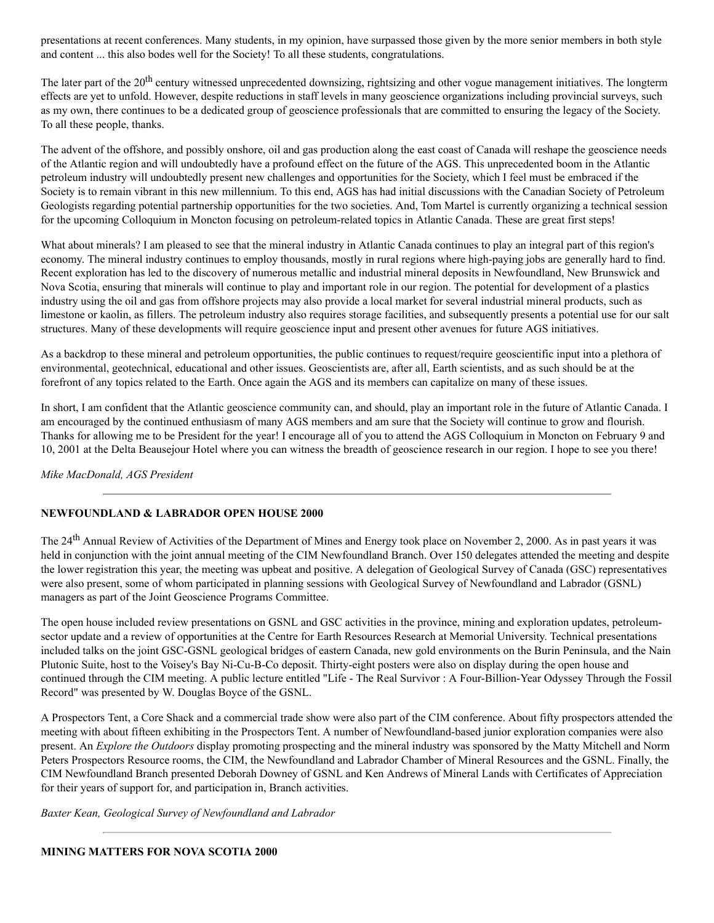presentations at recent conferences. Many students, in my opinion, have surpassed those given by the more senior members in both style and content ... this also bodes well for the Society! To all these students, congratulations.

The later part of the 20<sup>th</sup> century witnessed unprecedented downsizing, rightsizing and other vogue management initiatives. The longterm effects are yet to unfold. However, despite reductions in staff levels in many geoscience organizations including provincial surveys, such as my own, there continues to be a dedicated group of geoscience professionals that are committed to ensuring the legacy of the Society. To all these people, thanks.

The advent of the offshore, and possibly onshore, oil and gas production along the east coast of Canada will reshape the geoscience needs of the Atlantic region and will undoubtedly have a profound effect on the future of the AGS. This unprecedented boom in the Atlantic petroleum industry will undoubtedly present new challenges and opportunities for the Society, which I feel must be embraced if the Society is to remain vibrant in this new millennium. To this end, AGS has had initial discussions with the Canadian Society of Petroleum Geologists regarding potential partnership opportunities for the two societies. And, Tom Martel is currently organizing a technical session for the upcoming Colloquium in Moncton focusing on petroleum-related topics in Atlantic Canada. These are great first steps!

What about minerals? I am pleased to see that the mineral industry in Atlantic Canada continues to play an integral part of this region's economy. The mineral industry continues to employ thousands, mostly in rural regions where high-paying jobs are generally hard to find. Recent exploration has led to the discovery of numerous metallic and industrial mineral deposits in Newfoundland, New Brunswick and Nova Scotia, ensuring that minerals will continue to play and important role in our region. The potential for development of a plastics industry using the oil and gas from offshore projects may also provide a local market for several industrial mineral products, such as limestone or kaolin, as fillers. The petroleum industry also requires storage facilities, and subsequently presents a potential use for our salt structures. Many of these developments will require geoscience input and present other avenues for future AGS initiatives.

As a backdrop to these mineral and petroleum opportunities, the public continues to request/require geoscientific input into a plethora of environmental, geotechnical, educational and other issues. Geoscientists are, after all, Earth scientists, and as such should be at the forefront of any topics related to the Earth. Once again the AGS and its members can capitalize on many of these issues.

In short, I am confident that the Atlantic geoscience community can, and should, play an important role in the future of Atlantic Canada. I am encouraged by the continued enthusiasm of many AGS members and am sure that the Society will continue to grow and flourish. Thanks for allowing me to be President for the year! I encourage all of you to attend the AGS Colloquium in Moncton on February 9 and 10, 2001 at the Delta Beausejour Hotel where you can witness the breadth of geoscience research in our region. I hope to see you there!

#### *Mike MacDonald, AGS President*

#### **NEWFOUNDLAND & LABRADOR OPEN HOUSE 2000**

The 24<sup>th</sup> Annual Review of Activities of the Department of Mines and Energy took place on November 2, 2000. As in past years it was held in conjunction with the joint annual meeting of the CIM Newfoundland Branch. Over 150 delegates attended the meeting and despite the lower registration this year, the meeting was upbeat and positive. A delegation of Geological Survey of Canada (GSC) representatives were also present, some of whom participated in planning sessions with Geological Survey of Newfoundland and Labrador (GSNL) managers as part of the Joint Geoscience Programs Committee.

The open house included review presentations on GSNL and GSC activities in the province, mining and exploration updates, petroleumsector update and a review of opportunities at the Centre for Earth Resources Research at Memorial University. Technical presentations included talks on the joint GSC-GSNL geological bridges of eastern Canada, new gold environments on the Burin Peninsula, and the Nain Plutonic Suite, host to the Voisey's Bay Ni-Cu-B-Co deposit. Thirty-eight posters were also on display during the open house and continued through the CIM meeting. A public lecture entitled "Life - The Real Survivor : A Four-Billion-Year Odyssey Through the Fossil Record" was presented by W. Douglas Boyce of the GSNL.

A Prospectors Tent, a Core Shack and a commercial trade show were also part of the CIM conference. About fifty prospectors attended the meeting with about fifteen exhibiting in the Prospectors Tent. A number of Newfoundland-based junior exploration companies were also present. An *Explore the Outdoors* display promoting prospecting and the mineral industry was sponsored by the Matty Mitchell and Norm Peters Prospectors Resource rooms, the CIM, the Newfoundland and Labrador Chamber of Mineral Resources and the GSNL. Finally, the CIM Newfoundland Branch presented Deborah Downey of GSNL and Ken Andrews of Mineral Lands with Certificates of Appreciation for their years of support for, and participation in, Branch activities.

*Baxter Kean, Geological Survey of Newfoundland and Labrador*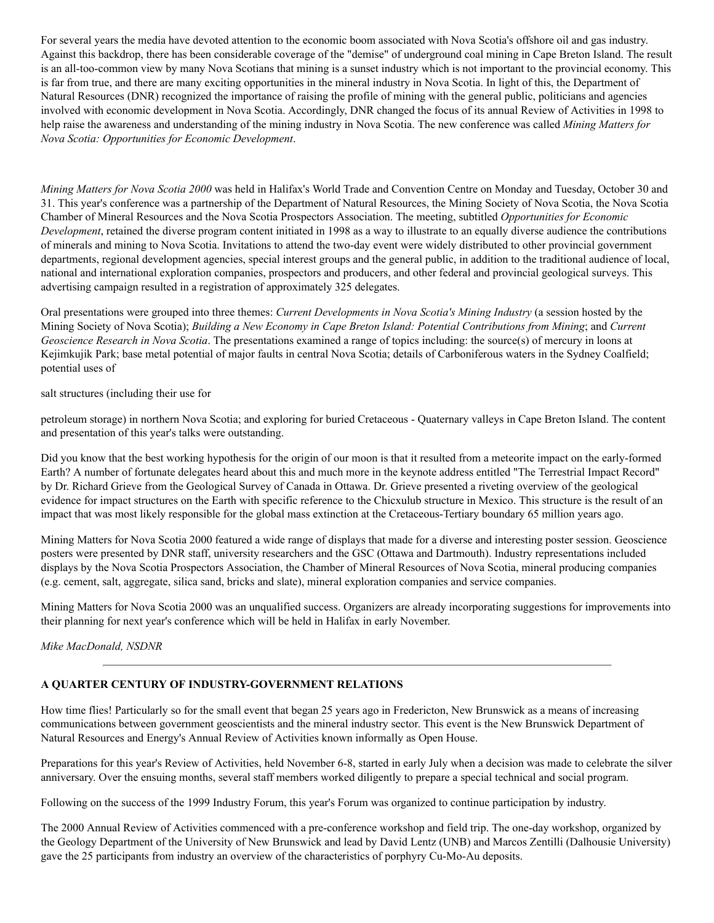For several years the media have devoted attention to the economic boom associated with Nova Scotia's offshore oil and gas industry. Against this backdrop, there has been considerable coverage of the "demise" of underground coal mining in Cape Breton Island. The result is an all-too-common view by many Nova Scotians that mining is a sunset industry which is not important to the provincial economy. This is far from true, and there are many exciting opportunities in the mineral industry in Nova Scotia. In light of this, the Department of Natural Resources (DNR) recognized the importance of raising the profile of mining with the general public, politicians and agencies involved with economic development in Nova Scotia. Accordingly, DNR changed the focus of its annual Review of Activities in 1998 to help raise the awareness and understanding of the mining industry in Nova Scotia. The new conference was called *Mining Matters for Nova Scotia: Opportunities for Economic Development*.

*Mining Matters for Nova Scotia 2000* was held in Halifax's World Trade and Convention Centre on Monday and Tuesday, October 30 and 31. This year's conference was a partnership of the Department of Natural Resources, the Mining Society of Nova Scotia, the Nova Scotia Chamber of Mineral Resources and the Nova Scotia Prospectors Association. The meeting, subtitled *Opportunities for Economic Development*, retained the diverse program content initiated in 1998 as a way to illustrate to an equally diverse audience the contributions of minerals and mining to Nova Scotia. Invitations to attend the two-day event were widely distributed to other provincial government departments, regional development agencies, special interest groups and the general public, in addition to the traditional audience of local, national and international exploration companies, prospectors and producers, and other federal and provincial geological surveys. This advertising campaign resulted in a registration of approximately 325 delegates.

Oral presentations were grouped into three themes: *Current Developments in Nova Scotia's Mining Industry* (a session hosted by the Mining Society of Nova Scotia); *Building a New Economy in Cape Breton Island: Potential Contributions from Mining*; and *Current Geoscience Research in Nova Scotia*. The presentations examined a range of topics including: the source(s) of mercury in loons at Kejimkujik Park; base metal potential of major faults in central Nova Scotia; details of Carboniferous waters in the Sydney Coalfield; potential uses of

salt structures (including their use for

petroleum storage) in northern Nova Scotia; and exploring for buried Cretaceous - Quaternary valleys in Cape Breton Island. The content and presentation of this year's talks were outstanding.

Did you know that the best working hypothesis for the origin of our moon is that it resulted from a meteorite impact on the early-formed Earth? A number of fortunate delegates heard about this and much more in the keynote address entitled "The Terrestrial Impact Record" by Dr. Richard Grieve from the Geological Survey of Canada in Ottawa. Dr. Grieve presented a riveting overview of the geological evidence for impact structures on the Earth with specific reference to the Chicxulub structure in Mexico. This structure is the result of an impact that was most likely responsible for the global mass extinction at the Cretaceous-Tertiary boundary 65 million years ago.

Mining Matters for Nova Scotia 2000 featured a wide range of displays that made for a diverse and interesting poster session. Geoscience posters were presented by DNR staff, university researchers and the GSC (Ottawa and Dartmouth). Industry representations included displays by the Nova Scotia Prospectors Association, the Chamber of Mineral Resources of Nova Scotia, mineral producing companies (e.g. cement, salt, aggregate, silica sand, bricks and slate), mineral exploration companies and service companies.

Mining Matters for Nova Scotia 2000 was an unqualified success. Organizers are already incorporating suggestions for improvements into their planning for next year's conference which will be held in Halifax in early November.

*Mike MacDonald, NSDNR*

#### **A QUARTER CENTURY OF INDUSTRY-GOVERNMENT RELATIONS**

How time flies! Particularly so for the small event that began 25 years ago in Fredericton, New Brunswick as a means of increasing communications between government geoscientists and the mineral industry sector. This event is the New Brunswick Department of Natural Resources and Energy's Annual Review of Activities known informally as Open House.

Preparations for this year's Review of Activities, held November 6-8, started in early July when a decision was made to celebrate the silver anniversary. Over the ensuing months, several staff members worked diligently to prepare a special technical and social program.

Following on the success of the 1999 Industry Forum, this year's Forum was organized to continue participation by industry.

The 2000 Annual Review of Activities commenced with a pre-conference workshop and field trip. The one-day workshop, organized by the Geology Department of the University of New Brunswick and lead by David Lentz (UNB) and Marcos Zentilli (Dalhousie University) gave the 25 participants from industry an overview of the characteristics of porphyry Cu-Mo-Au deposits.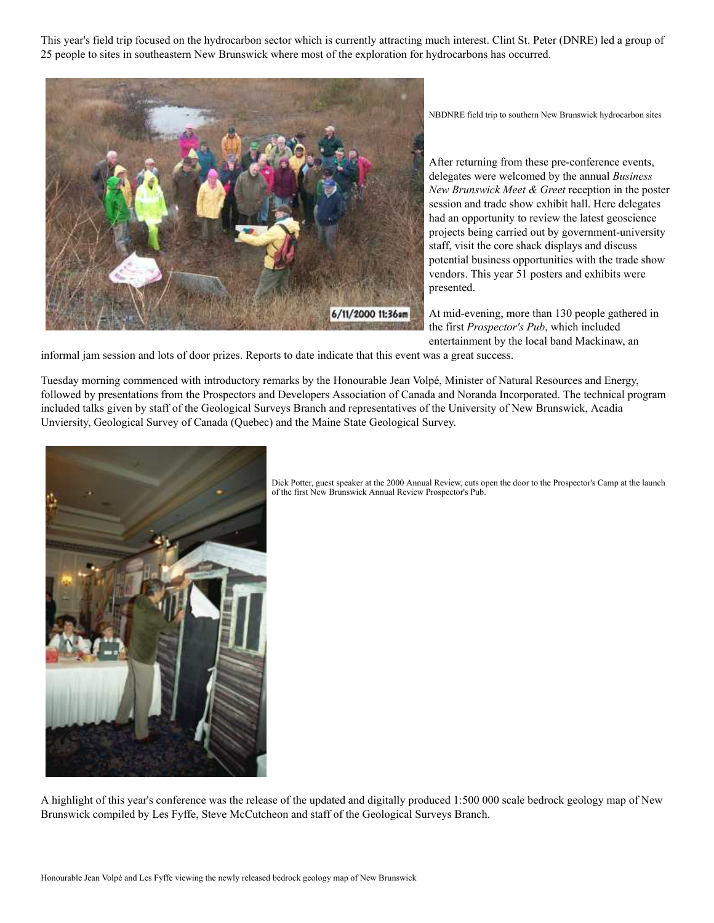This year's field trip focused on the hydrocarbon sector which is currently attracting much interest. Clint St. Peter (DNRE) led a group of 25 people to sites in southeastern New Brunswick where most of the exploration for hydrocarbons has occurred.



NBDNRE field trip to southern New Brunswick hydrocarbon sites

After returning from these pre-conference events, delegates were welcomed by the annual *Business New Brunswick Meet & Greet* reception in the poster session and trade show exhibit hall. Here delegates had an opportunity to review the latest geoscience projects being carried out by government-university staff, visit the core shack displays and discuss potential business opportunities with the trade show vendors. This year 51 posters and exhibits were presented.

At mid-evening, more than 130 people gathered in the first *Prospector's Pub*, which included entertainment by the local band Mackinaw, an

informal jam session and lots of door prizes. Reports to date indicate that this event was a great success.

Tuesday morning commenced with introductory remarks by the Honourable Jean Volpé, Minister of Natural Resources and Energy, followed by presentations from the Prospectors and Developers Association of Canada and Noranda Incorporated. The technical program included talks given by staff of the Geological Surveys Branch and representatives of the University of New Brunswick, Acadia Unviersity, Geological Survey of Canada (Quebec) and the Maine State Geological Survey.



Dick Potter, guest speaker at the 2000 Annual Review, cuts open the door to the Prospector's Camp at the launch of the first New Brunswick Annual Review Prospector's Pub.

A highlight of this year's conference was the release of the updated and digitally produced 1:500 000 scale bedrock geology map of New Brunswick compiled by Les Fyffe, Steve McCutcheon and staff of the Geological Surveys Branch.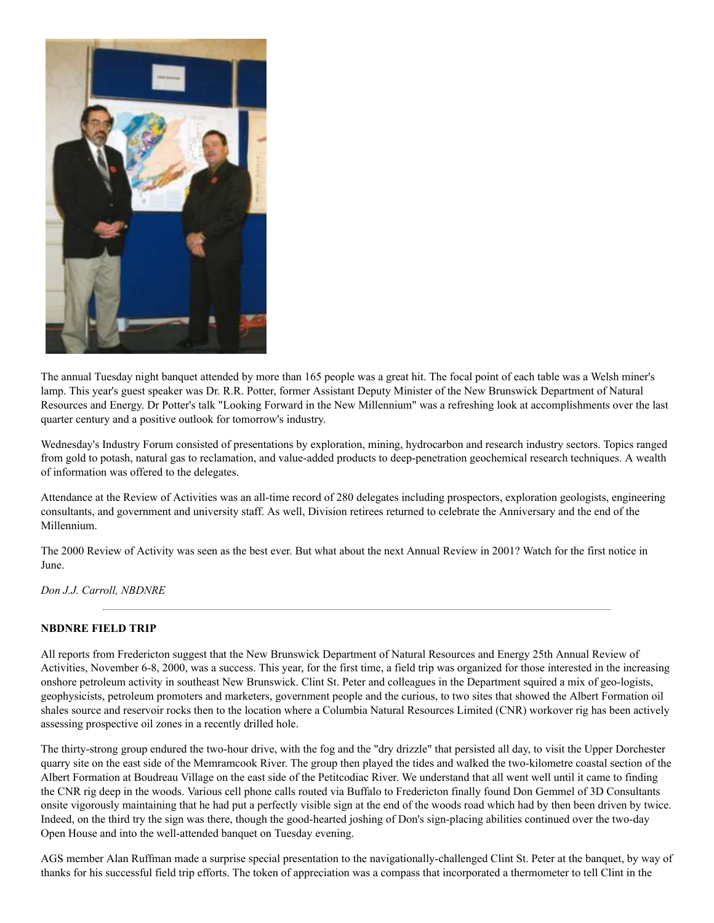

The annual Tuesday night banquet attended by more than 165 people was a great hit. The focal point of each table was a Welsh miner's lamp. This year's guest speaker was Dr. R.R. Potter, former Assistant Deputy Minister of the New Brunswick Department of Natural Resources and Energy. Dr Potter's talk "Looking Forward in the New Millennium" was a refreshing look at accomplishments over the last quarter century and a positive outlook for tomorrow's industry.

Wednesday's Industry Forum consisted of presentations by exploration, mining, hydrocarbon and research industry sectors. Topics ranged from gold to potash, natural gas to reclamation, and value-added products to deep-penetration geochemical research techniques. A wealth of information was offered to the delegates.

Attendance at the Review of Activities was an all-time record of 280 delegates including prospectors, exploration geologists, engineering consultants, and government and university staff. As well, Division retirees returned to celebrate the Anniversary and the end of the Millennium.

The 2000 Review of Activity was seen as the best ever. But what about the next Annual Review in 2001? Watch for the first notice in June.

*Don J.J. Carroll, NBDNRE*

#### **NBDNRE FIELD TRIP**

All reports from Fredericton suggest that the New Brunswick Department of Natural Resources and Energy 25th Annual Review of Activities, November 6-8, 2000, was a success. This year, for the first time, a field trip was organized for those interested in the increasing onshore petroleum activity in southeast New Brunswick. Clint St. Peter and colleagues in the Department squired a mix of geo-logists, geophysicists, petroleum promoters and marketers, government people and the curious, to two sites that showed the Albert Formation oil shales source and reservoir rocks then to the location where a Columbia Natural Resources Limited (CNR) workover rig has been actively assessing prospective oil zones in a recently drilled hole.

The thirty-strong group endured the two-hour drive, with the fog and the "dry drizzle" that persisted all day, to visit the Upper Dorchester quarry site on the east side of the Memramcook River. The group then played the tides and walked the two-kilometre coastal section of the Albert Formation at Boudreau Village on the east side of the Petitcodiac River. We understand that all went well until it came to finding the CNR rig deep in the woods. Various cell phone calls routed via Buffalo to Fredericton finally found Don Gemmel of 3D Consultants onsite vigorously maintaining that he had put a perfectly visible sign at the end of the woods road which had by then been driven by twice. Indeed, on the third try the sign was there, though the good-hearted joshing of Don's sign-placing abilities continued over the two-day Open House and into the well-attended banquet on Tuesday evening.

AGS member Alan Ruffman made a surprise special presentation to the navigationally-challenged Clint St. Peter at the banquet, by way of thanks for his successful field trip efforts. The token of appreciation was a compass that incorporated a thermometer to tell Clint in the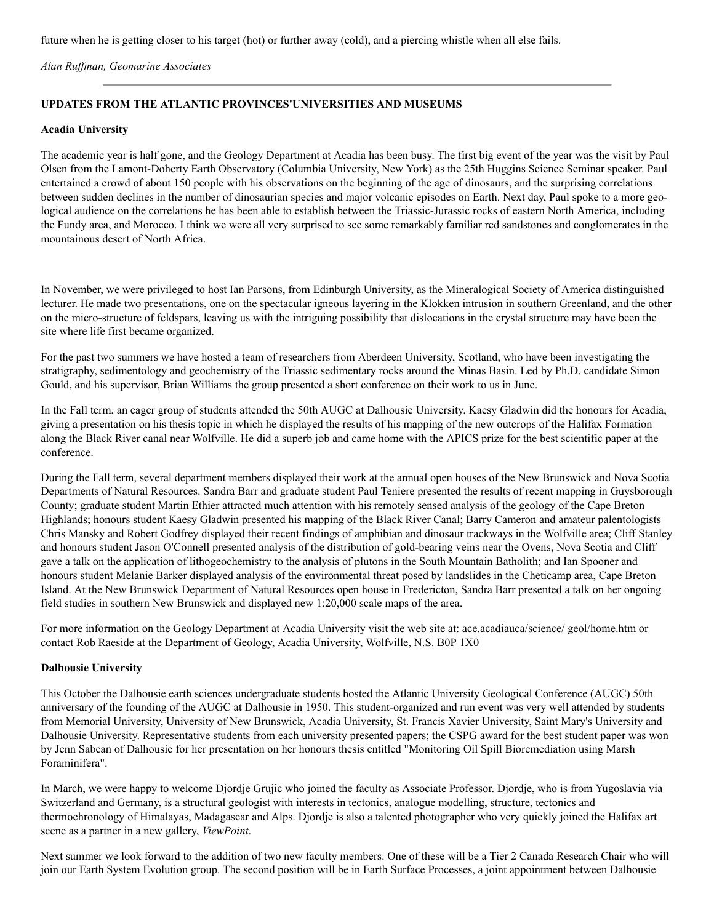future when he is getting closer to his target (hot) or further away (cold), and a piercing whistle when all else fails.

#### *Alan Ruffman, Geomarine Associates*

#### **UPDATES FROM THE ATLANTIC PROVINCES'UNIVERSITIES AND MUSEUMS**

#### **Acadia University**

The academic year is half gone, and the Geology Department at Acadia has been busy. The first big event of the year was the visit by Paul Olsen from the Lamont-Doherty Earth Observatory (Columbia University, New York) as the 25th Huggins Science Seminar speaker. Paul entertained a crowd of about 150 people with his observations on the beginning of the age of dinosaurs, and the surprising correlations between sudden declines in the number of dinosaurian species and major volcanic episodes on Earth. Next day, Paul spoke to a more geological audience on the correlations he has been able to establish between the Triassic-Jurassic rocks of eastern North America, including the Fundy area, and Morocco. I think we were all very surprised to see some remarkably familiar red sandstones and conglomerates in the mountainous desert of North Africa.

In November, we were privileged to host Ian Parsons, from Edinburgh University, as the Mineralogical Society of America distinguished lecturer. He made two presentations, one on the spectacular igneous layering in the Klokken intrusion in southern Greenland, and the other on the micro-structure of feldspars, leaving us with the intriguing possibility that dislocations in the crystal structure may have been the site where life first became organized.

For the past two summers we have hosted a team of researchers from Aberdeen University, Scotland, who have been investigating the stratigraphy, sedimentology and geochemistry of the Triassic sedimentary rocks around the Minas Basin. Led by Ph.D. candidate Simon Gould, and his supervisor, Brian Williams the group presented a short conference on their work to us in June.

In the Fall term, an eager group of students attended the 50th AUGC at Dalhousie University. Kaesy Gladwin did the honours for Acadia, giving a presentation on his thesis topic in which he displayed the results of his mapping of the new outcrops of the Halifax Formation along the Black River canal near Wolfville. He did a superb job and came home with the APICS prize for the best scientific paper at the conference.

During the Fall term, several department members displayed their work at the annual open houses of the New Brunswick and Nova Scotia Departments of Natural Resources. Sandra Barr and graduate student Paul Teniere presented the results of recent mapping in Guysborough County; graduate student Martin Ethier attracted much attention with his remotely sensed analysis of the geology of the Cape Breton Highlands; honours student Kaesy Gladwin presented his mapping of the Black River Canal; Barry Cameron and amateur palentologists Chris Mansky and Robert Godfrey displayed their recent findings of amphibian and dinosaur trackways in the Wolfville area; Cliff Stanley and honours student Jason O'Connell presented analysis of the distribution of gold-bearing veins near the Ovens, Nova Scotia and Cliff gave a talk on the application of lithogeochemistry to the analysis of plutons in the South Mountain Batholith; and Ian Spooner and honours student Melanie Barker displayed analysis of the environmental threat posed by landslides in the Cheticamp area, Cape Breton Island. At the New Brunswick Department of Natural Resources open house in Fredericton, Sandra Barr presented a talk on her ongoing field studies in southern New Brunswick and displayed new 1:20,000 scale maps of the area.

For more information on the Geology Department at Acadia University visit the web site at: ace.acadiauca/science/ geol/home.htm or contact Rob Raeside at the Department of Geology, Acadia University, Wolfville, N.S. B0P 1X0

#### **Dalhousie University**

This October the Dalhousie earth sciences undergraduate students hosted the Atlantic University Geological Conference (AUGC) 50th anniversary of the founding of the AUGC at Dalhousie in 1950. This student-organized and run event was very well attended by students from Memorial University, University of New Brunswick, Acadia University, St. Francis Xavier University, Saint Mary's University and Dalhousie University. Representative students from each university presented papers; the CSPG award for the best student paper was won by Jenn Sabean of Dalhousie for her presentation on her honours thesis entitled "Monitoring Oil Spill Bioremediation using Marsh Foraminifera".

In March, we were happy to welcome Djordje Grujic who joined the faculty as Associate Professor. Djordje, who is from Yugoslavia via Switzerland and Germany, is a structural geologist with interests in tectonics, analogue modelling, structure, tectonics and thermochronology of Himalayas, Madagascar and Alps. Djordje is also a talented photographer who very quickly joined the Halifax art scene as a partner in a new gallery, *ViewPoint*.

Next summer we look forward to the addition of two new faculty members. One of these will be a Tier 2 Canada Research Chair who will join our Earth System Evolution group. The second position will be in Earth Surface Processes, a joint appointment between Dalhousie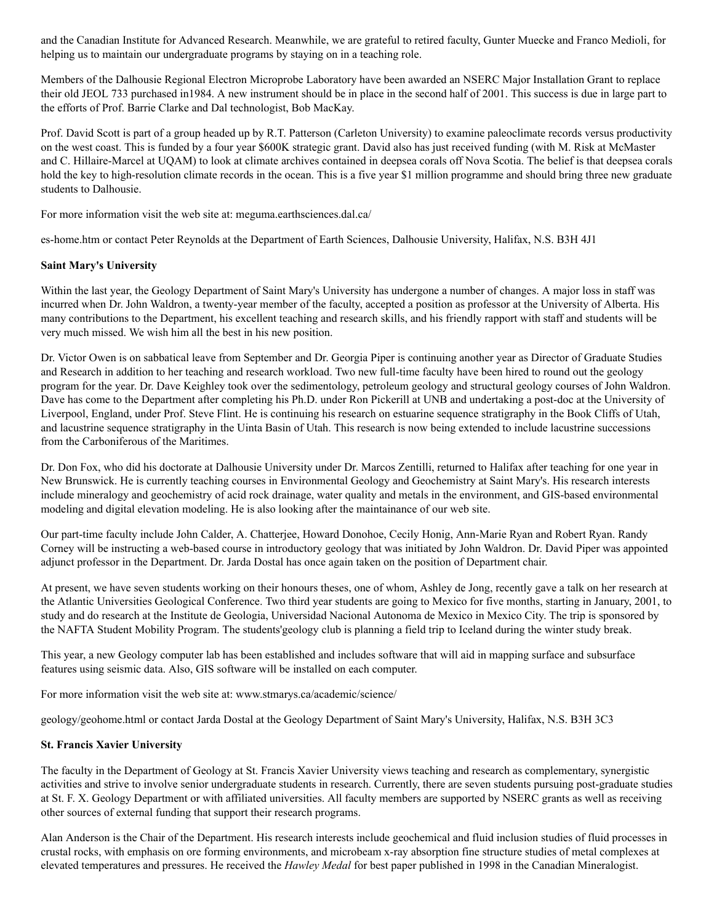and the Canadian Institute for Advanced Research. Meanwhile, we are grateful to retired faculty, Gunter Muecke and Franco Medioli, for helping us to maintain our undergraduate programs by staying on in a teaching role.

Members of the Dalhousie Regional Electron Microprobe Laboratory have been awarded an NSERC Major Installation Grant to replace their old JEOL 733 purchased in1984. A new instrument should be in place in the second half of 2001. This success is due in large part to the efforts of Prof. Barrie Clarke and Dal technologist, Bob MacKay.

Prof. David Scott is part of a group headed up by R.T. Patterson (Carleton University) to examine paleoclimate records versus productivity on the west coast. This is funded by a four year \$600K strategic grant. David also has just received funding (with M. Risk at McMaster and C. Hillaire-Marcel at UQAM) to look at climate archives contained in deepsea corals off Nova Scotia. The belief is that deepsea corals hold the key to high-resolution climate records in the ocean. This is a five year \$1 million programme and should bring three new graduate students to Dalhousie.

For more information visit the web site at: meguma.earthsciences.dal.ca/

es-home.htm or contact Peter Reynolds at the Department of Earth Sciences, Dalhousie University, Halifax, N.S. B3H 4J1

#### **Saint Mary's University**

Within the last year, the Geology Department of Saint Mary's University has undergone a number of changes. A major loss in staff was incurred when Dr. John Waldron, a twenty-year member of the faculty, accepted a position as professor at the University of Alberta. His many contributions to the Department, his excellent teaching and research skills, and his friendly rapport with staff and students will be very much missed. We wish him all the best in his new position.

Dr. Victor Owen is on sabbatical leave from September and Dr. Georgia Piper is continuing another year as Director of Graduate Studies and Research in addition to her teaching and research workload. Two new full-time faculty have been hired to round out the geology program for the year. Dr. Dave Keighley took over the sedimentology, petroleum geology and structural geology courses of John Waldron. Dave has come to the Department after completing his Ph.D. under Ron Pickerill at UNB and undertaking a post-doc at the University of Liverpool, England, under Prof. Steve Flint. He is continuing his research on estuarine sequence stratigraphy in the Book Cliffs of Utah, and lacustrine sequence stratigraphy in the Uinta Basin of Utah. This research is now being extended to include lacustrine successions from the Carboniferous of the Maritimes.

Dr. Don Fox, who did his doctorate at Dalhousie University under Dr. Marcos Zentilli, returned to Halifax after teaching for one year in New Brunswick. He is currently teaching courses in Environmental Geology and Geochemistry at Saint Mary's. His research interests include mineralogy and geochemistry of acid rock drainage, water quality and metals in the environment, and GIS-based environmental modeling and digital elevation modeling. He is also looking after the maintainance of our web site.

Our part-time faculty include John Calder, A. Chatterjee, Howard Donohoe, Cecily Honig, Ann-Marie Ryan and Robert Ryan. Randy Corney will be instructing a web-based course in introductory geology that was initiated by John Waldron. Dr. David Piper was appointed adjunct professor in the Department. Dr. Jarda Dostal has once again taken on the position of Department chair.

At present, we have seven students working on their honours theses, one of whom, Ashley de Jong, recently gave a talk on her research at the Atlantic Universities Geological Conference. Two third year students are going to Mexico for five months, starting in January, 2001, to study and do research at the Institute de Geologia, Universidad Nacional Autonoma de Mexico in Mexico City. The trip is sponsored by the NAFTA Student Mobility Program. The students'geology club is planning a field trip to Iceland during the winter study break.

This year, a new Geology computer lab has been established and includes software that will aid in mapping surface and subsurface features using seismic data. Also, GIS software will be installed on each computer.

For more information visit the web site at: www.stmarys.ca/academic/science/

geology/geohome.html or contact Jarda Dostal at the Geology Department of Saint Mary's University, Halifax, N.S. B3H 3C3

#### **St. Francis Xavier University**

The faculty in the Department of Geology at St. Francis Xavier University views teaching and research as complementary, synergistic activities and strive to involve senior undergraduate students in research. Currently, there are seven students pursuing post-graduate studies at St. F. X. Geology Department or with affiliated universities. All faculty members are supported by NSERC grants as well as receiving other sources of external funding that support their research programs.

Alan Anderson is the Chair of the Department. His research interests include geochemical and fluid inclusion studies of fluid processes in crustal rocks, with emphasis on ore forming environments, and microbeam x-ray absorption fine structure studies of metal complexes at elevated temperatures and pressures. He received the *Hawley Medal* for best paper published in 1998 in the Canadian Mineralogist.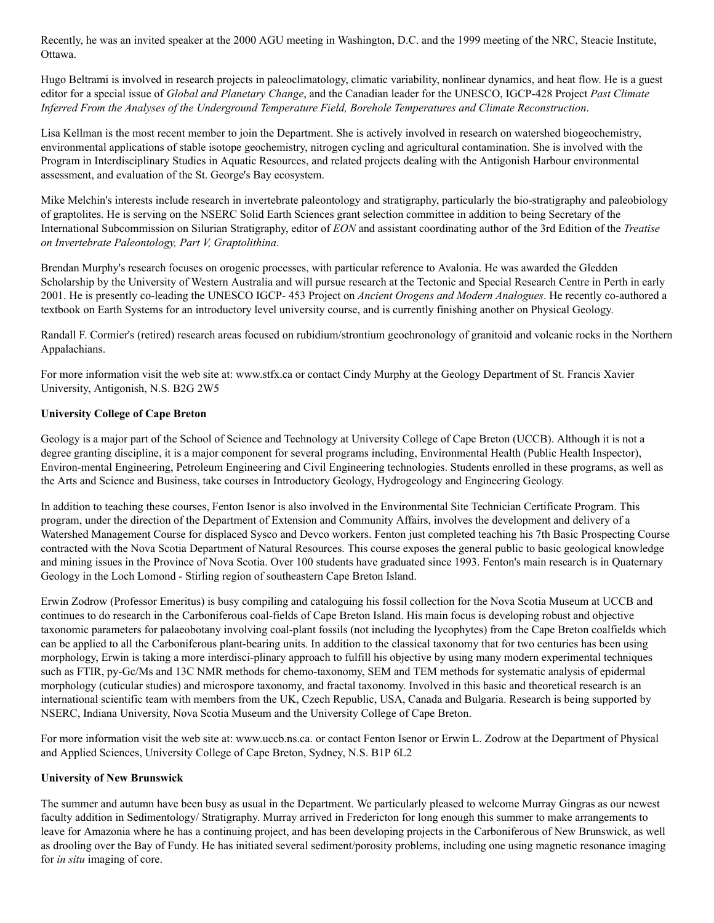Recently, he was an invited speaker at the 2000 AGU meeting in Washington, D.C. and the 1999 meeting of the NRC, Steacie Institute, Ottawa.

Hugo Beltrami is involved in research projects in paleoclimatology, climatic variability, nonlinear dynamics, and heat flow. He is a guest editor for a special issue of *Global and Planetary Change*, and the Canadian leader for the UNESCO, IGCP-428 Project *Past Climate Inferred From the Analyses of the Underground Temperature Field, Borehole Temperatures and Climate Reconstruction*.

Lisa Kellman is the most recent member to join the Department. She is actively involved in research on watershed biogeochemistry, environmental applications of stable isotope geochemistry, nitrogen cycling and agricultural contamination. She is involved with the Program in Interdisciplinary Studies in Aquatic Resources, and related projects dealing with the Antigonish Harbour environmental assessment, and evaluation of the St. George's Bay ecosystem.

Mike Melchin's interests include research in invertebrate paleontology and stratigraphy, particularly the bio-stratigraphy and paleobiology of graptolites. He is serving on the NSERC Solid Earth Sciences grant selection committee in addition to being Secretary of the International Subcommission on Silurian Stratigraphy, editor of *EON* and assistant coordinating author of the 3rd Edition of the *Treatise on Invertebrate Paleontology, Part V, Graptolithina*.

Brendan Murphy's research focuses on orogenic processes, with particular reference to Avalonia. He was awarded the Gledden Scholarship by the University of Western Australia and will pursue research at the Tectonic and Special Research Centre in Perth in early 2001. He is presently co-leading the UNESCO IGCP- 453 Project on *Ancient Orogens and Modern Analogues*. He recently co-authored a textbook on Earth Systems for an introductory level university course, and is currently finishing another on Physical Geology.

Randall F. Cormier's (retired) research areas focused on rubidium/strontium geochronology of granitoid and volcanic rocks in the Northern Appalachians.

For more information visit the web site at: www.stfx.ca or contact Cindy Murphy at the Geology Department of St. Francis Xavier University, Antigonish, N.S. B2G 2W5

#### **University College of Cape Breton**

Geology is a major part of the School of Science and Technology at University College of Cape Breton (UCCB). Although it is not a degree granting discipline, it is a major component for several programs including, Environmental Health (Public Health Inspector), Environ-mental Engineering, Petroleum Engineering and Civil Engineering technologies. Students enrolled in these programs, as well as the Arts and Science and Business, take courses in Introductory Geology, Hydrogeology and Engineering Geology.

In addition to teaching these courses, Fenton Isenor is also involved in the Environmental Site Technician Certificate Program. This program, under the direction of the Department of Extension and Community Affairs, involves the development and delivery of a Watershed Management Course for displaced Sysco and Devco workers. Fenton just completed teaching his 7th Basic Prospecting Course contracted with the Nova Scotia Department of Natural Resources. This course exposes the general public to basic geological knowledge and mining issues in the Province of Nova Scotia. Over 100 students have graduated since 1993. Fenton's main research is in Quaternary Geology in the Loch Lomond - Stirling region of southeastern Cape Breton Island.

Erwin Zodrow (Professor Emeritus) is busy compiling and cataloguing his fossil collection for the Nova Scotia Museum at UCCB and continues to do research in the Carboniferous coal-fields of Cape Breton Island. His main focus is developing robust and objective taxonomic parameters for palaeobotany involving coal-plant fossils (not including the lycophytes) from the Cape Breton coalfields which can be applied to all the Carboniferous plant-bearing units. In addition to the classical taxonomy that for two centuries has been using morphology, Erwin is taking a more interdisci-plinary approach to fulfill his objective by using many modern experimental techniques such as FTIR, py-Gc/Ms and 13C NMR methods for chemo-taxonomy, SEM and TEM methods for systematic analysis of epidermal morphology (cuticular studies) and microspore taxonomy, and fractal taxonomy. Involved in this basic and theoretical research is an international scientific team with members from the UK, Czech Republic, USA, Canada and Bulgaria. Research is being supported by NSERC, Indiana University, Nova Scotia Museum and the University College of Cape Breton.

For more information visit the web site at: www.uccb.ns.ca. or contact Fenton Isenor or Erwin L. Zodrow at the Department of Physical and Applied Sciences, University College of Cape Breton, Sydney, N.S. B1P 6L2

#### **University of New Brunswick**

The summer and autumn have been busy as usual in the Department. We particularly pleased to welcome Murray Gingras as our newest faculty addition in Sedimentology/ Stratigraphy. Murray arrived in Fredericton for long enough this summer to make arrangements to leave for Amazonia where he has a continuing project, and has been developing projects in the Carboniferous of New Brunswick, as well as drooling over the Bay of Fundy. He has initiated several sediment/porosity problems, including one using magnetic resonance imaging for *in situ* imaging of core.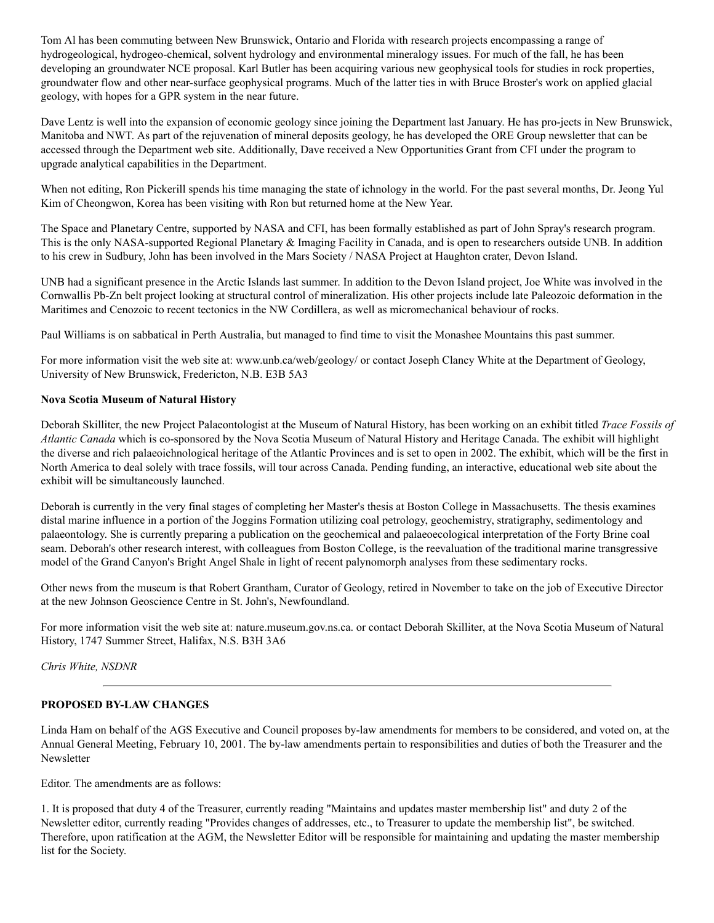Tom Al has been commuting between New Brunswick, Ontario and Florida with research projects encompassing a range of hydrogeological, hydrogeo-chemical, solvent hydrology and environmental mineralogy issues. For much of the fall, he has been developing an groundwater NCE proposal. Karl Butler has been acquiring various new geophysical tools for studies in rock properties, groundwater flow and other near-surface geophysical programs. Much of the latter ties in with Bruce Broster's work on applied glacial geology, with hopes for a GPR system in the near future.

Dave Lentz is well into the expansion of economic geology since joining the Department last January. He has pro-jects in New Brunswick, Manitoba and NWT. As part of the rejuvenation of mineral deposits geology, he has developed the ORE Group newsletter that can be accessed through the Department web site. Additionally, Dave received a New Opportunities Grant from CFI under the program to upgrade analytical capabilities in the Department.

When not editing, Ron Pickerill spends his time managing the state of ichnology in the world. For the past several months, Dr. Jeong Yul Kim of Cheongwon, Korea has been visiting with Ron but returned home at the New Year.

The Space and Planetary Centre, supported by NASA and CFI, has been formally established as part of John Spray's research program. This is the only NASA-supported Regional Planetary & Imaging Facility in Canada, and is open to researchers outside UNB. In addition to his crew in Sudbury, John has been involved in the Mars Society / NASA Project at Haughton crater, Devon Island.

UNB had a significant presence in the Arctic Islands last summer. In addition to the Devon Island project, Joe White was involved in the Cornwallis Pb-Zn belt project looking at structural control of mineralization. His other projects include late Paleozoic deformation in the Maritimes and Cenozoic to recent tectonics in the NW Cordillera, as well as micromechanical behaviour of rocks.

Paul Williams is on sabbatical in Perth Australia, but managed to find time to visit the Monashee Mountains this past summer.

For more information visit the web site at: www.unb.ca/web/geology/ or contact Joseph Clancy White at the Department of Geology, University of New Brunswick, Fredericton, N.B. E3B 5A3

#### **Nova Scotia Museum of Natural History**

Deborah Skilliter, the new Project Palaeontologist at the Museum of Natural History, has been working on an exhibit titled *Trace Fossils of Atlantic Canada* which is co-sponsored by the Nova Scotia Museum of Natural History and Heritage Canada. The exhibit will highlight the diverse and rich palaeoichnological heritage of the Atlantic Provinces and is set to open in 2002. The exhibit, which will be the first in North America to deal solely with trace fossils, will tour across Canada. Pending funding, an interactive, educational web site about the exhibit will be simultaneously launched.

Deborah is currently in the very final stages of completing her Master's thesis at Boston College in Massachusetts. The thesis examines distal marine influence in a portion of the Joggins Formation utilizing coal petrology, geochemistry, stratigraphy, sedimentology and palaeontology. She is currently preparing a publication on the geochemical and palaeoecological interpretation of the Forty Brine coal seam. Deborah's other research interest, with colleagues from Boston College, is the reevaluation of the traditional marine transgressive model of the Grand Canyon's Bright Angel Shale in light of recent palynomorph analyses from these sedimentary rocks.

Other news from the museum is that Robert Grantham, Curator of Geology, retired in November to take on the job of Executive Director at the new Johnson Geoscience Centre in St. John's, Newfoundland.

For more information visit the web site at: nature.museum.gov.ns.ca. or contact Deborah Skilliter, at the Nova Scotia Museum of Natural History, 1747 Summer Street, Halifax, N.S. B3H 3A6

*Chris White, NSDNR*

#### **PROPOSED BY-LAW CHANGES**

Linda Ham on behalf of the AGS Executive and Council proposes by-law amendments for members to be considered, and voted on, at the Annual General Meeting, February 10, 2001. The by-law amendments pertain to responsibilities and duties of both the Treasurer and the Newsletter

Editor. The amendments are as follows:

1. It is proposed that duty 4 of the Treasurer, currently reading "Maintains and updates master membership list" and duty 2 of the Newsletter editor, currently reading "Provides changes of addresses, etc., to Treasurer to update the membership list", be switched. Therefore, upon ratification at the AGM, the Newsletter Editor will be responsible for maintaining and updating the master membership list for the Society.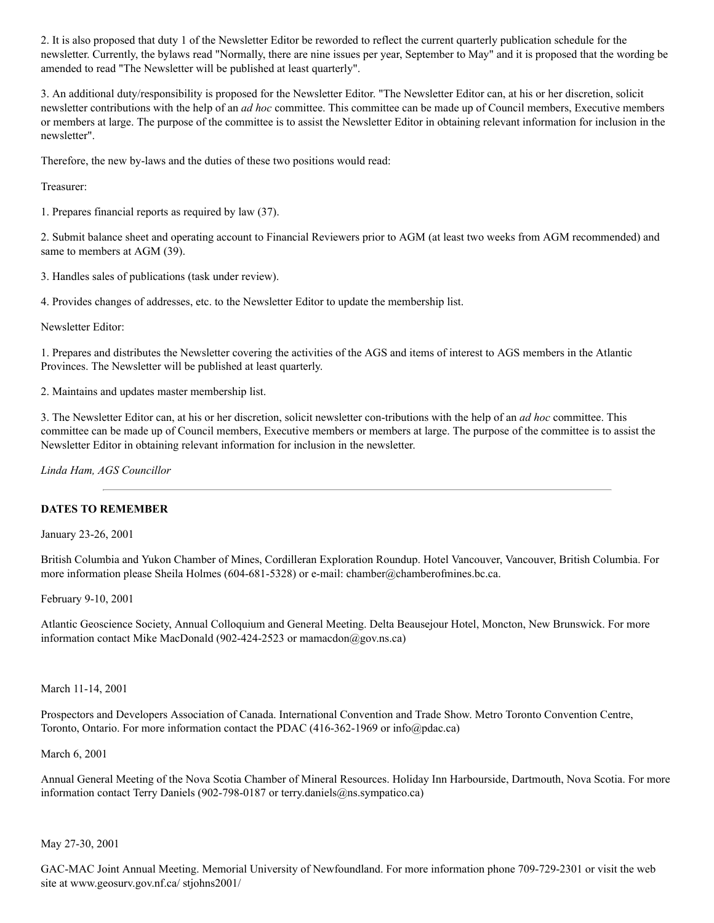2. It is also proposed that duty 1 of the Newsletter Editor be reworded to reflect the current quarterly publication schedule for the newsletter. Currently, the bylaws read "Normally, there are nine issues per year, September to May" and it is proposed that the wording be amended to read "The Newsletter will be published at least quarterly".

3. An additional duty/responsibility is proposed for the Newsletter Editor. "The Newsletter Editor can, at his or her discretion, solicit newsletter contributions with the help of an *ad hoc* committee. This committee can be made up of Council members, Executive members or members at large. The purpose of the committee is to assist the Newsletter Editor in obtaining relevant information for inclusion in the newsletter".

Therefore, the new by-laws and the duties of these two positions would read:

Treasurer:

1. Prepares financial reports as required by law (37).

2. Submit balance sheet and operating account to Financial Reviewers prior to AGM (at least two weeks from AGM recommended) and same to members at AGM (39).

3. Handles sales of publications (task under review).

4. Provides changes of addresses, etc. to the Newsletter Editor to update the membership list.

Newsletter Editor:

1. Prepares and distributes the Newsletter covering the activities of the AGS and items of interest to AGS members in the Atlantic Provinces. The Newsletter will be published at least quarterly.

2. Maintains and updates master membership list.

3. The Newsletter Editor can, at his or her discretion, solicit newsletter con-tributions with the help of an *ad hoc* committee. This committee can be made up of Council members, Executive members or members at large. The purpose of the committee is to assist the Newsletter Editor in obtaining relevant information for inclusion in the newsletter.

*Linda Ham, AGS Councillor*

#### **DATES TO REMEMBER**

January 23-26, 2001

British Columbia and Yukon Chamber of Mines, Cordilleran Exploration Roundup. Hotel Vancouver, Vancouver, British Columbia. For more information please Sheila Holmes (604-681-5328) or e-mail: chamber@chamberofmines.bc.ca.

February 9-10, 2001

Atlantic Geoscience Society, Annual Colloquium and General Meeting. Delta Beausejour Hotel, Moncton, New Brunswick. For more information contact Mike MacDonald (902-424-2523 or mamacdon@gov.ns.ca)

March 11-14, 2001

Prospectors and Developers Association of Canada. International Convention and Trade Show. Metro Toronto Convention Centre, Toronto, Ontario. For more information contact the PDAC (416-362-1969 or info@pdac.ca)

March 6, 2001

Annual General Meeting of the Nova Scotia Chamber of Mineral Resources. Holiday Inn Harbourside, Dartmouth, Nova Scotia. For more information contact Terry Daniels (902-798-0187 or terry.daniels@ns.sympatico.ca)

#### May 27-30, 2001

GAC-MAC Joint Annual Meeting. Memorial University of Newfoundland. For more information phone 709-729-2301 or visit the web site at www.geosurv.gov.nf.ca/ stjohns2001/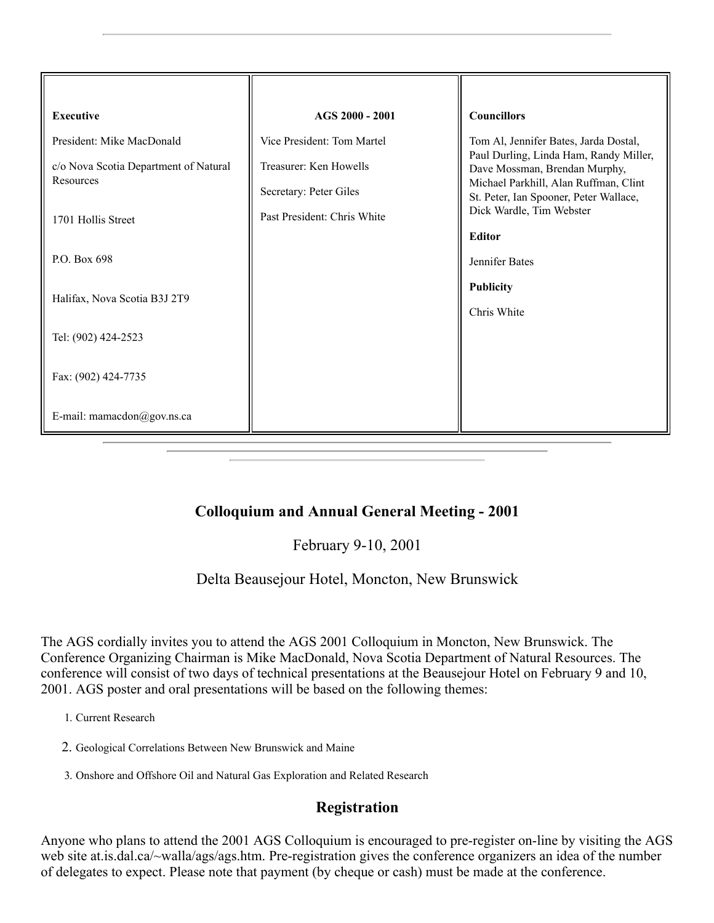| <b>Executive</b>                                   | AGS 2000 - 2001                                  | <b>Councillors</b>                                                                                                                                                                     |
|----------------------------------------------------|--------------------------------------------------|----------------------------------------------------------------------------------------------------------------------------------------------------------------------------------------|
| President: Mike MacDonald                          | Vice President: Tom Martel                       | Tom Al, Jennifer Bates, Jarda Dostal,                                                                                                                                                  |
| c/o Nova Scotia Department of Natural<br>Resources | Treasurer: Ken Howells<br>Secretary: Peter Giles | Paul Durling, Linda Ham, Randy Miller,<br>Dave Mossman, Brendan Murphy,<br>Michael Parkhill, Alan Ruffman, Clint<br>St. Peter, Ian Spooner, Peter Wallace,<br>Dick Wardle, Tim Webster |
| 1701 Hollis Street                                 | Past President: Chris White                      |                                                                                                                                                                                        |
| P.O. Box 698                                       |                                                  | <b>Editor</b><br>Jennifer Bates                                                                                                                                                        |
| Halifax, Nova Scotia B3J 2T9                       |                                                  | <b>Publicity</b><br>Chris White                                                                                                                                                        |
| Tel: (902) 424-2523                                |                                                  |                                                                                                                                                                                        |
| Fax: (902) 424-7735                                |                                                  |                                                                                                                                                                                        |
| E-mail: mamacdon@gov.ns.ca                         |                                                  |                                                                                                                                                                                        |

# **Colloquium and Annual General Meeting - 2001**

February 9-10, 2001

## Delta Beausejour Hotel, Moncton, New Brunswick

The AGS cordially invites you to attend the AGS 2001 Colloquium in Moncton, New Brunswick. The Conference Organizing Chairman is Mike MacDonald, Nova Scotia Department of Natural Resources. The conference will consist of two days of technical presentations at the Beausejour Hotel on February 9 and 10, 2001. AGS poster and oral presentations will be based on the following themes:

- 1. Current Research
- 2. Geological Correlations Between New Brunswick and Maine
- 3. Onshore and Offshore Oil and Natural Gas Exploration and Related Research

## **Registration**

Anyone who plans to attend the 2001 AGS Colloquium is encouraged to pre-register on-line by visiting the AGS web site at.is.dal.ca/~walla/ags/ags.htm. Pre-registration gives the conference organizers an idea of the number of delegates to expect. Please note that payment (by cheque or cash) must be made at the conference.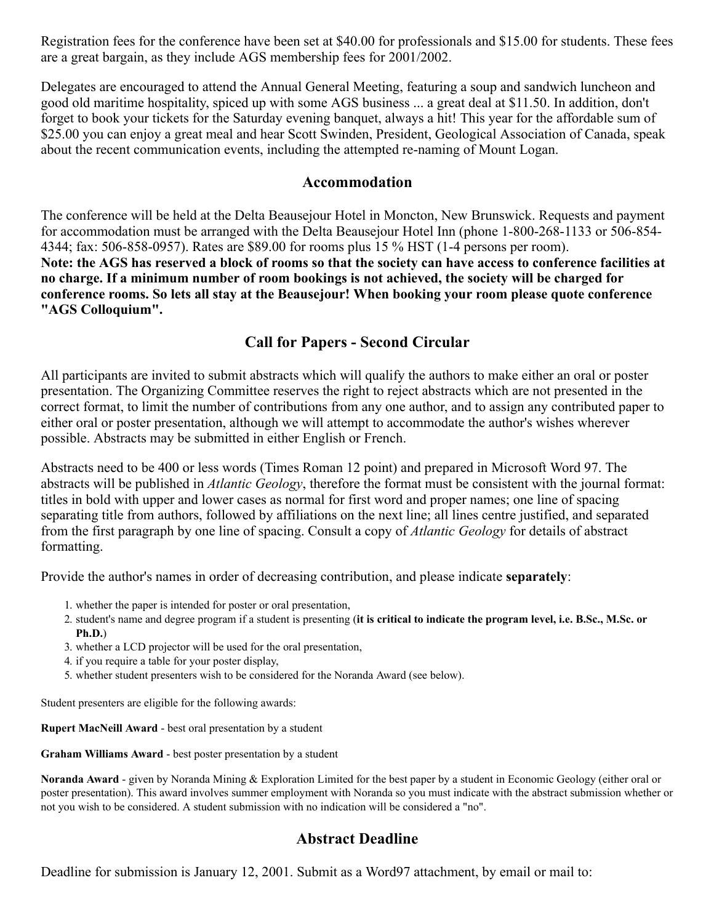Registration fees for the conference have been set at \$40.00 for professionals and \$15.00 for students. These fees are a great bargain, as they include AGS membership fees for 2001/2002.

Delegates are encouraged to attend the Annual General Meeting, featuring a soup and sandwich luncheon and good old maritime hospitality, spiced up with some AGS business ... a great deal at \$11.50. In addition, don't forget to book your tickets for the Saturday evening banquet, always a hit! This year for the affordable sum of \$25.00 you can enjoy a great meal and hear Scott Swinden, President, Geological Association of Canada, speak about the recent communication events, including the attempted re-naming of Mount Logan.

### **Accommodation**

The conference will be held at the Delta Beausejour Hotel in Moncton, New Brunswick. Requests and payment for accommodation must be arranged with the Delta Beausejour Hotel Inn (phone 1-800-268-1133 or 506-854- 4344; fax: 506-858-0957). Rates are \$89.00 for rooms plus 15 % HST (1-4 persons per room). **Note: the AGS has reserved a block of rooms so that the society can have access to conference facilities at no charge. If a minimum number of room bookings is not achieved, the society will be charged for conference rooms. So lets all stay at the Beausejour! When booking your room please quote conference "AGS Colloquium".**

# **Call for Papers - Second Circular**

All participants are invited to submit abstracts which will qualify the authors to make either an oral or poster presentation. The Organizing Committee reserves the right to reject abstracts which are not presented in the correct format, to limit the number of contributions from any one author, and to assign any contributed paper to either oral or poster presentation, although we will attempt to accommodate the author's wishes wherever possible. Abstracts may be submitted in either English or French.

Abstracts need to be 400 or less words (Times Roman 12 point) and prepared in Microsoft Word 97. The abstracts will be published in *Atlantic Geology*, therefore the format must be consistent with the journal format: titles in bold with upper and lower cases as normal for first word and proper names; one line of spacing separating title from authors, followed by affiliations on the next line; all lines centre justified, and separated from the first paragraph by one line of spacing. Consult a copy of *Atlantic Geology* for details of abstract formatting.

Provide the author's names in order of decreasing contribution, and please indicate **separately**:

- 1. whether the paper is intended for poster or oral presentation,
- 2. student's name and degree program if a student is presenting (**it is critical to indicate the program level, i.e. B.Sc., M.Sc. or Ph.D.**)
- 3. whether a LCD projector will be used for the oral presentation,
- 4. if you require a table for your poster display,
- 5. whether student presenters wish to be considered for the Noranda Award (see below).

Student presenters are eligible for the following awards:

**Rupert MacNeill Award** - best oral presentation by a student

**Graham Williams Award** - best poster presentation by a student

**Noranda Award** - given by Noranda Mining & Exploration Limited for the best paper by a student in Economic Geology (either oral or poster presentation). This award involves summer employment with Noranda so you must indicate with the abstract submission whether or not you wish to be considered. A student submission with no indication will be considered a "no".

# **Abstract Deadline**

Deadline for submission is January 12, 2001. Submit as a Word97 attachment, by email or mail to: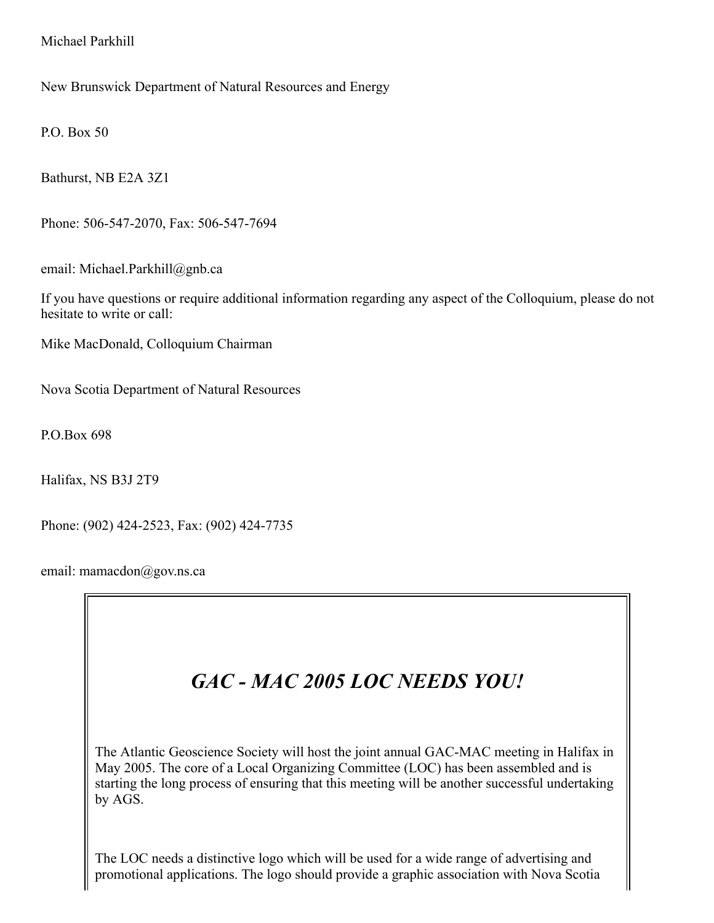Michael Parkhill

New Brunswick Department of Natural Resources and Energy

P.O. Box 50

Bathurst, NB E2A 3Z1

Phone: 506-547-2070, Fax: 506-547-7694

email: Michael.Parkhill@gnb.ca

If you have questions or require additional information regarding any aspect of the Colloquium, please do not hesitate to write or call:

Mike MacDonald, Colloquium Chairman

Nova Scotia Department of Natural Resources

P.O.Box 698

Halifax, NS B3J 2T9

Phone: (902) 424-2523, Fax: (902) 424-7735

email: mamacdon@gov.ns.ca



The Atlantic Geoscience Society will host the joint annual GAC-MAC meeting in Halifax in May 2005. The core of a Local Organizing Committee (LOC) has been assembled and is starting the long process of ensuring that this meeting will be another successful undertaking by AGS.

The LOC needs a distinctive logo which will be used for a wide range of advertising and promotional applications. The logo should provide a graphic association with Nova Scotia